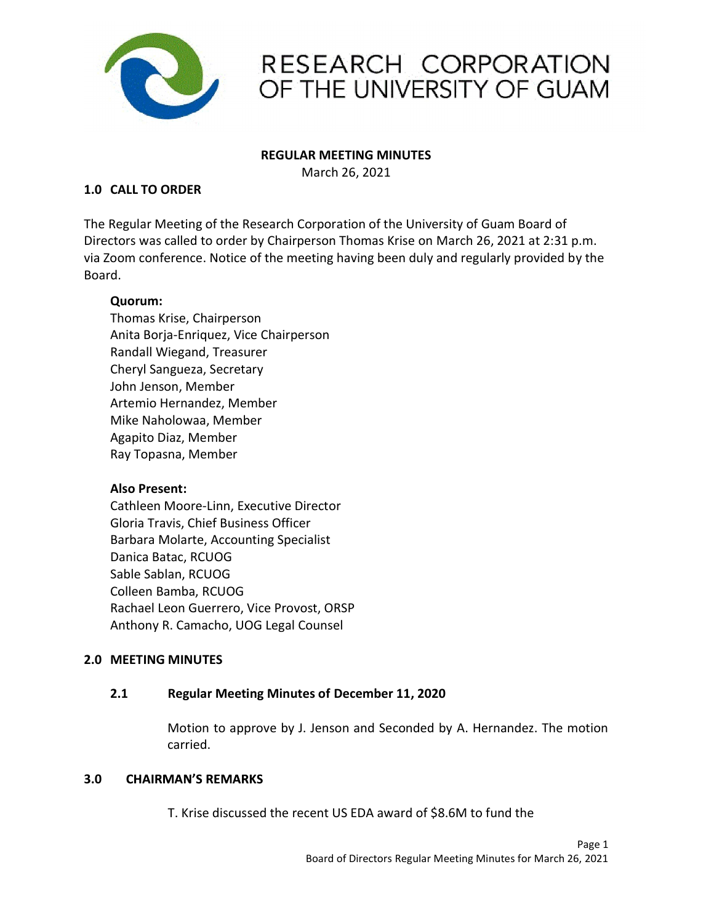

## RESEARCH CORPORATION OF THE UNIVERSITY OF GUAM

### REGULAR MEETING MINUTES

March 26, 2021

### 1.0 CALL TO ORDER

The Regular Meeting of the Research Corporation of the University of Guam Board of Directors was called to order by Chairperson Thomas Krise on March 26, 2021 at 2:31 p.m. via Zoom conference. Notice of the meeting having been duly and regularly provided by the Board.

### Quorum:

Thomas Krise, Chairperson Anita Borja-Enriquez, Vice Chairperson Randall Wiegand, Treasurer Cheryl Sangueza, Secretary John Jenson, Member Artemio Hernandez, Member Mike Naholowaa, Member Agapito Diaz, Member Ray Topasna, Member

### Also Present:

Cathleen Moore-Linn, Executive Director Gloria Travis, Chief Business Officer Barbara Molarte, Accounting Specialist Danica Batac, RCUOG Sable Sablan, RCUOG Colleen Bamba, RCUOG Rachael Leon Guerrero, Vice Provost, ORSP Anthony R. Camacho, UOG Legal Counsel

### 2.0 MEETING MINUTES

### 2.1 Regular Meeting Minutes of December 11, 2020

Motion to approve by J. Jenson and Seconded by A. Hernandez. The motion carried.

#### 3.0 **CHAIRMAN'S REMARKS**

T. Krise discussed the recent US EDA award of \$8.6M to fund the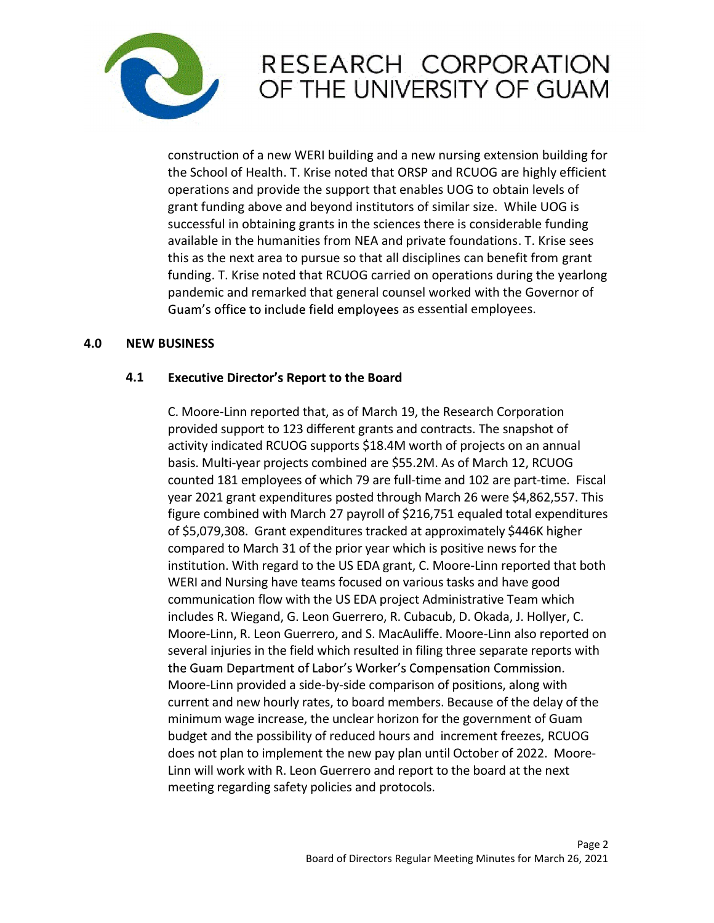

# RESEARCH CORPORATION OF THE UNIVERSITY OF GUAM

construction of a new WERI building and a new nursing extension building for the School of Health. T. Krise noted that ORSP and RCUOG are highly efficient operations and provide the support that enables UOG to obtain levels of grant funding above and beyond institutors of similar size. While UOG is successful in obtaining grants in the sciences there is considerable funding available in the humanities from NEA and private foundations. T. Krise sees this as the next area to pursue so that all disciplines can benefit from grant funding. T. Krise noted that RCUOG carried on operations during the yearlong pandemic and remarked that general counsel worked with the Governor of Guam's office to include field employees as essential employees.

### 4.0 NEW BUSINESS

#### 4.1 **Executive Director's Report to the Board**

C. Moore-Linn reported that, as of March 19, the Research Corporation provided support to 123 different grants and contracts. The snapshot of activity indicated RCUOG supports \$18.4M worth of projects on an annual basis. Multi-year projects combined are \$55.2M. As of March 12, RCUOG counted 181 employees of which 79 are full-time and 102 are part-time. Fiscal year 2021 grant expenditures posted through March 26 were \$4,862,557. This figure combined with March 27 payroll of \$216,751 equaled total expenditures of \$5,079,308. Grant expenditures tracked at approximately \$446K higher compared to March 31 of the prior year which is positive news for the institution. With regard to the US EDA grant, C. Moore-Linn reported that both WERI and Nursing have teams focused on various tasks and have good communication flow with the US EDA project Administrative Team which includes R. Wiegand, G. Leon Guerrero, R. Cubacub, D. Okada, J. Hollyer, C. Moore-Linn, R. Leon Guerrero, and S. MacAuliffe. Moore-Linn also reported on several injuries in the field which resulted in filing three separate reports with the Guam Department of Labor's Worker's Compensation Commission. Moore-Linn provided a side-by-side comparison of positions, along with current and new hourly rates, to board members. Because of the delay of the minimum wage increase, the unclear horizon for the government of Guam budget and the possibility of reduced hours and increment freezes, RCUOG does not plan to implement the new pay plan until October of 2022. Moore-Linn will work with R. Leon Guerrero and report to the board at the next meeting regarding safety policies and protocols.